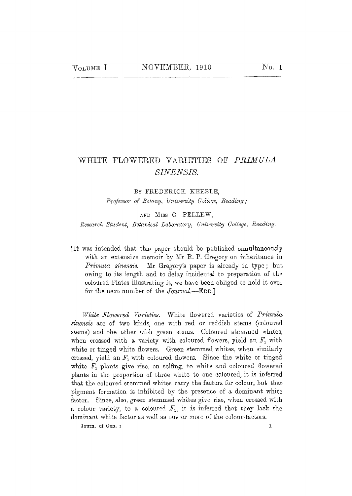## WHITE FLOWERED VARIETIES OF PRIMULA SINENSIS.

BY FREDERICK KEEBLE.

Professor of Botanu, University College, Reading:

AND MISS C. PELLEW. Research Student, Botanical Laboratory, University College, Reading.

It was intended that this paper should be published simultaneously with an extensive memoir by Mr R. P. Gregory on inheritance in *Primula sinensis.* Mr Gregory's paper is already in type; but owing to its length and to delay incidental to preparation of the coloured Plates illustrating it, we have been obliged to hold it over for the next number of the Journal.---EDD.]

White Flowered Varieties. White flowered varieties of Primula sinensis are of two kinds, one with red or reddish stems (coloured stems) and the other with green stems. Coloured stemmed whites, when crossed with a variety with coloured flowers, yield an  $F_1$  with white or tinged white flowers. Green stemmed whites, when similarly crossed, yield an  $F_1$  with coloured flowers. Since the white or tinged white  $F_1$  plants give rise, on selfing, to white and coloured flowered plants in the proportion of three white to one coloured, it is inferred that the coloured stemmed whites carry the factors for colour, but that pigment formation is inhibited by the presence of a dominant white factor. Since, also, green stemmed whites give rise, when crossed with a colour variety, to a coloured  $F_1$ , it is inferred that they lack the dominant white factor as well as one or more of the colour-factors.

Journ. of Gen. 1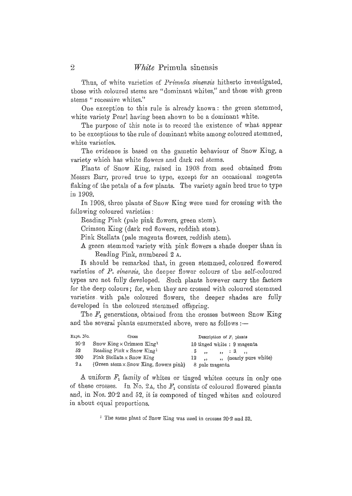Thus, of white varieties of *Primula sinensis* hitherto investigated, those with eoloured stems are "dominant whites," and those with green stems *"* recessive whites."

One exception to this rule is already known: the green stemmed, white variety Pearl having been shown to be a dominant white.

The purpose of this note is to record the existence of what appear to be exceptions to the rule of dominant white among coloured stemmed, white varieties.

The evidence is based on the gametic behaviour of Snow King, a variety which has white flowers and dark red stems.

Plants of Snow King, raised in 1908 from seed obtained from Messrs Barr, proved true to type, except for an occasional magenta flaking of the petals of a few plants. The variety again bred true to type in 1909,

In 1908, three plants of Snow King were used for crossing with the following coloured varieties:

Reading Pink (pale pink flowers, green stem).

Crimson King (dark red flowers, reddish stem).

Pink Stellata (pale magenta flowers, reddish stem).

A green stemmed variety with pink flowers a shade deeper than in Reading Pink, numbered 2 A.

It should be remarked that, in green stemmed, eoloured flowered varieties of P. *sinensis*, the deeper flower colours of the self-coloured types are not fully developed. Such plants however carry the factors for the deep colours ; for, when they are crossed with coloared stemmed varieties with pate coloured flowers, the deeper shades are fully developed in the coloured stemmed offspring.

The  $F_1$  generations, obtained from the crosses between Snow King and the several plants enumerated above, were as follows :-

| Expt. No.         | Cross                                        | Description of $F_1$ plants    |  |  |  |  |  |  |
|-------------------|----------------------------------------------|--------------------------------|--|--|--|--|--|--|
| $20 - 2$          | Snow King $\times$ Orimson King <sup>1</sup> | 10 tinged white: 9 magenta     |  |  |  |  |  |  |
| 52                | Reading Pink x Snow King <sup>1</sup>        |                                |  |  |  |  |  |  |
| 200               | Pink Stellata $\times$ Snow King             | ,, (nearly pure white)<br>12 . |  |  |  |  |  |  |
| $2\,\mathrm{\AA}$ | (Green stem x Snow King, flowers pink)       | 8 pale magenta                 |  |  |  |  |  |  |

A uniform  $F_1$  family of whites or tinged whites occurs in only one of these crosses. In No. 2A, the  $F_1$  consists of coloured flowered plants and, in Nos. 20.2 and 52, it is composed of tinged whites and coloured in about equaI proportions.

<sup>1</sup> The same plant of Snow King was used in crosses 20-2 and 52,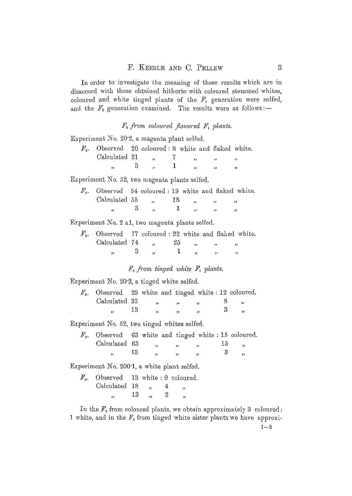In order to investigate the meaning of these results which are in disaccord with those obtained hitherto with coloured stemmed whites, coloured and white tinged plants of the  $F_1$  generation were selfed, and the  $F_3$  generation examined. The results were as follows:-

 $F_2$  from coloured flowered  $F_1$  plants.

Experiment No. 20.2, a magenta plant selfed.

| $\mathbb{F}_2$ . Observed 20 coloured: 8 white and flaked white. |  |  |  |  |
|------------------------------------------------------------------|--|--|--|--|
| Calculated 21                                                    |  |  |  |  |
|                                                                  |  |  |  |  |

Experiment No.  $52$ , two magenta plants selfed.

| $F_3$ . Observed 54 coloured : 19 white and flaked white. |  |        |                                                  |  |
|-----------------------------------------------------------|--|--------|--------------------------------------------------|--|
| Calculated $55$ , $18$                                    |  |        | $\mathbf{r}$ , and $\mathbf{r}$ and $\mathbf{r}$ |  |
| 33 <sup>2</sup>                                           |  | $\sim$ |                                                  |  |

Experiment No. 2 Al, two magenta plants selfed.

| $F_3$ . Observed 77 coloured : 22 white and flaked white. |  |    |  |  |
|-----------------------------------------------------------|--|----|--|--|
| Calculated 74,                                            |  | 25 |  |  |
|                                                           |  |    |  |  |

 $F<sub>3</sub>$  from tinged white  $F<sub>1</sub>$  plants.

Experiment No. 20.2, a tinged white selfed.

| $F_3$ . Observed 29 white and tinged white : 12 coloured. |  |  |  |
|-----------------------------------------------------------|--|--|--|
| Calculated 33                                             |  |  |  |
| 12                                                        |  |  |  |

Experiment No. 52, two tinged whites selfed.

| $F_2$ . Observed 63 white and tinged white: 15 coloured. |  |  |           |  |
|----------------------------------------------------------|--|--|-----------|--|
| Calculated 63                                            |  |  | <u>ТЪ</u> |  |
|                                                          |  |  |           |  |

Experiment No. 200'1, a white plant selfed.

| $F2$ . Observed 13 white 9 coloured. |    |  |                      |
|--------------------------------------|----|--|----------------------|
| Calculated 18                        |    |  | ٠,                   |
|                                      | 13 |  | $\ddot{\phantom{1}}$ |

In the  $F<sub>2</sub>$  from coloured plants, we obtain approximately 3 coloured: 1 white, and in the  $F<sub>2</sub>$  from tinged white sister plants we have approxi-

 $1 - 2$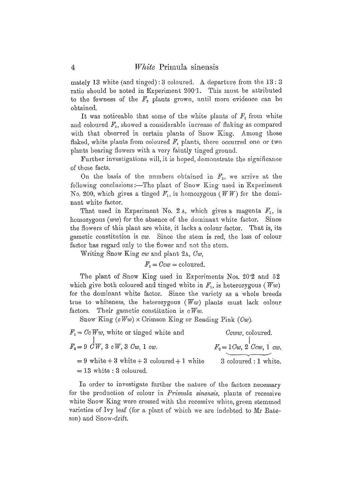mately 13 white (and tinged): 3 coloured. A departure from the  $13:3$ ratio should be noted in Experiment 200'1. This must be attributed to the fewness of the  $F_2$  plants grown, until more evidence can be obtained.

It was noticeable that some of the white plants of  $F_2$  from white and coloured  $F_1$ , showed a considerable increase of flaking as compared with that observed in certain plants of Snow King. Among those flaked, white plants from coloured  $F_1$  plants, there occurred one or two plants bearing flowers with a very faintly tinged ground.

Further investigations will, it is hoped, demonstrate the significance of these facts.

On the basis of the numbers obtained in  $F<sub>2</sub>$ , we arrive at the following conclusions :- The plant of Snow King used in Experiment No. 200, which gives a tinged  $F_1$ , is homozygous (WW) for the dominant white factor.

That used in Experiment No. 2 A, which gives a magenta  $F_1$ , is homozygous (ww) for the absence of the dominant white factor. Since the flowers of this plant are white, it lacks a colour factor. That is, its gametic constitution is *cw.* Since the stem is red, the loss of colour factor has regard only to the flower and not the stem.

Writing Snow King *cw* and plant 2A, Cw,

$$
F_1 = Ccw = \text{coloured}.
$$

The plant of Snow King used in Experiments Nos. 20.2 and 52 which give both coloured and tinged white in  $F_1$ , is heterozygous (Ww) for the dominant white factor. Since the variety as a whole breeds true to whiteness, the heterozygous ( $\overline{W}w$ ) plants must lack colour factors. Their gametic constitution is  $c$  Ww.

Snow King  $(cWw) \times$  Crimson King or Reading Pink (Cw).

 $F_1 = Cc Ww$ , white or tinged white and  $F_2 = 9 \, \text{GW}, 3 \, \text{cW}, 3 \, \text{Cw}, 1 \, \text{cw}.$  $= 9$  white  $+ 3$  white  $+ 3$  coloured  $+ 1$  white  $= 13$  white : 3 coloured. *Cvww,* eoloured.  $F_2 = 1$ *Cw*, 2 *Ccw*, 1 *cw.* 3 coloured : 1 white.

In order to investigate further the nature of the factors necessary for the production of colour in *Primula sinensis*, plants of recessive white Snow King were crossed with the recessive white, green stemmed varieties of Ivy leaf (for a plant of which we are indebted to Mr Bateson) and Snow-drift.